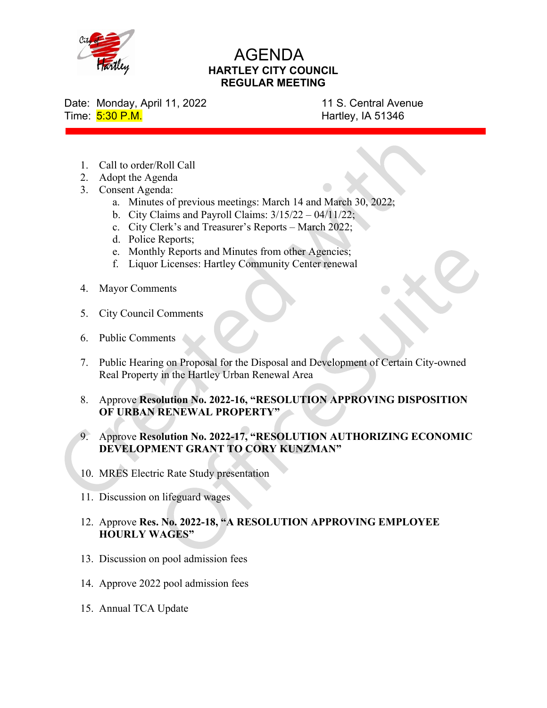

## AGENDA HARTLEY CITY COUNCIL REGULAR MEETING

Date: Monday, April 11, 2022 11 S. Central Avenue Time: 5:30 P.M. **Hartley, IA 51346** 

- 1. Call to order/Roll Call
- 2. Adopt the Agenda
- 3. Consent Agenda:
	- a. Minutes of previous meetings: March 14 and March 30, 2022;
	- b. City Claims and Payroll Claims:  $3/15/22 04/11/22$ ;
	- c. City Clerk's and Treasurer's Reports March 2022;
	- d. Police Reports;
	- e. Monthly Reports and Minutes from other Agencies;
	- f. Liquor Licenses: Hartley Community Center renewal
- 4. Mayor Comments
- 5. City Council Comments
- 6. Public Comments
- 7. Public Hearing on Proposal for the Disposal and Development of Certain City-owned Real Property in the Hartley Urban Renewal Area
- 8. Approve Resolution No. 2022-16, "RESOLUTION APPROVING DISPOSITION OF URBAN RENEWAL PROPERTY"
- 9. Approve Resolution No. 2022-17, "RESOLUTION AUTHORIZING ECONOMIC DEVELOPMENT GRANT TO CORY KUNZMAN"
- 10. MRES Electric Rate Study presentation
- 11. Discussion on lifeguard wages
- 12. Approve Res. No. 2022-18, "A RESOLUTION APPROVING EMPLOYEE HOURLY WAGES"
- 13. Discussion on pool admission fees
- 14. Approve 2022 pool admission fees
- 15. Annual TCA Update